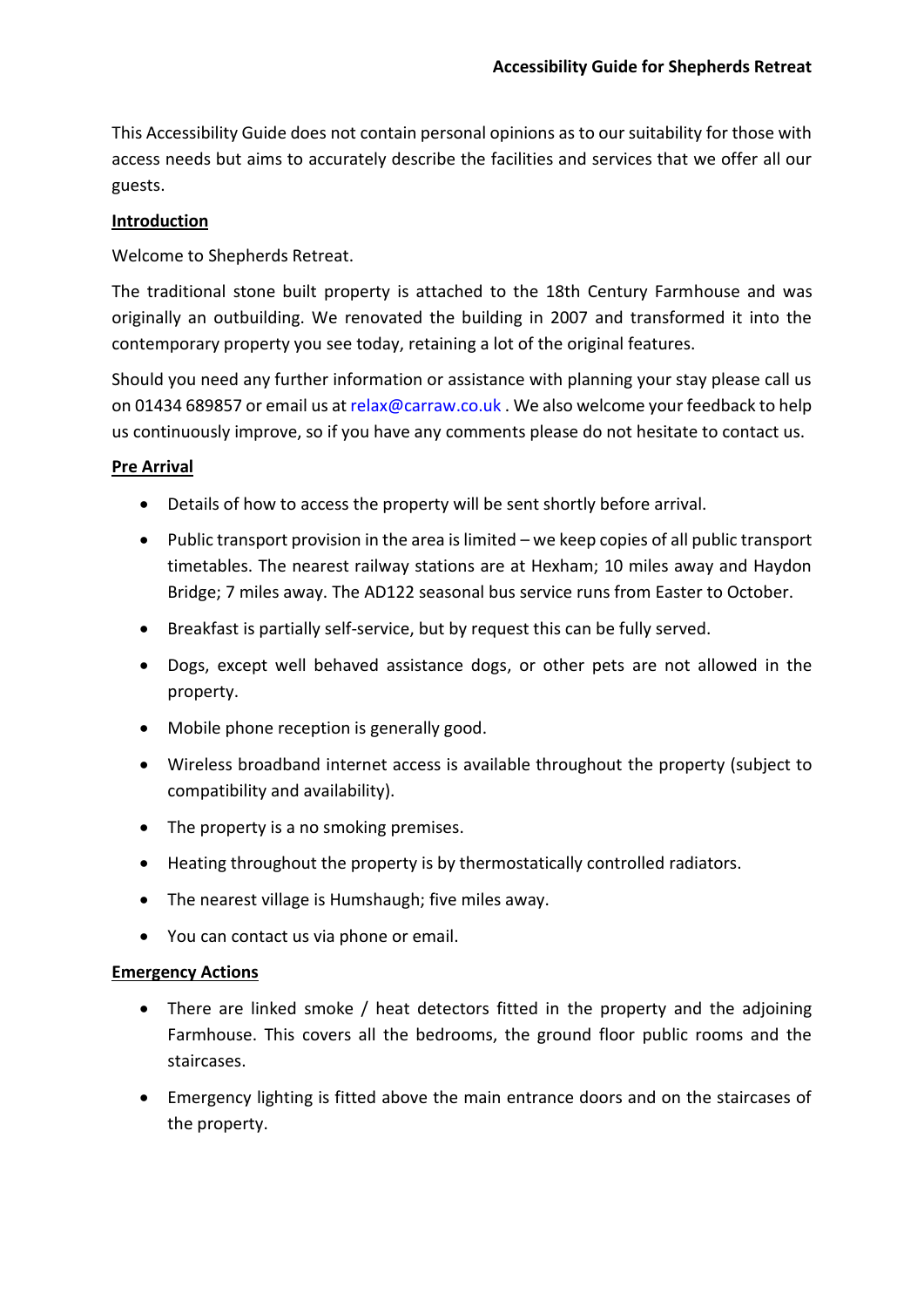This Accessibility Guide does not contain personal opinions as to our suitability for those with access needs but aims to accurately describe the facilities and services that we offer all our guests.

## **Introduction**

Welcome to Shepherds Retreat.

The traditional stone built property is attached to the 18th Century Farmhouse and was originally an outbuilding. We renovated the building in 2007 and transformed it into the contemporary property you see today, retaining a lot of the original features.

Should you need any further information or assistance with planning your stay please call us on 01434 689857 or email us a[t relax@carraw.co.uk](mailto:relax@carraw.co.uk) . We also welcome your feedback to help us continuously improve, so if you have any comments please do not hesitate to contact us.

# **Pre Arrival**

- Details of how to access the property will be sent shortly before arrival.
- Public transport provision in the area is limited we keep copies of all public transport timetables. The nearest railway stations are at Hexham; 10 miles away and Haydon Bridge; 7 miles away. The AD122 seasonal bus service runs from Easter to October.
- Breakfast is partially self-service, but by request this can be fully served.
- Dogs, except well behaved assistance dogs, or other pets are not allowed in the property.
- Mobile phone reception is generally good.
- Wireless broadband internet access is available throughout the property (subject to compatibility and availability).
- The property is a no smoking premises.
- Heating throughout the property is by thermostatically controlled radiators.
- The nearest village is Humshaugh; five miles away.
- You can contact us via phone or email.

### **Emergency Actions**

- There are linked smoke / heat detectors fitted in the property and the adjoining Farmhouse. This covers all the bedrooms, the ground floor public rooms and the staircases.
- Emergency lighting is fitted above the main entrance doors and on the staircases of the property.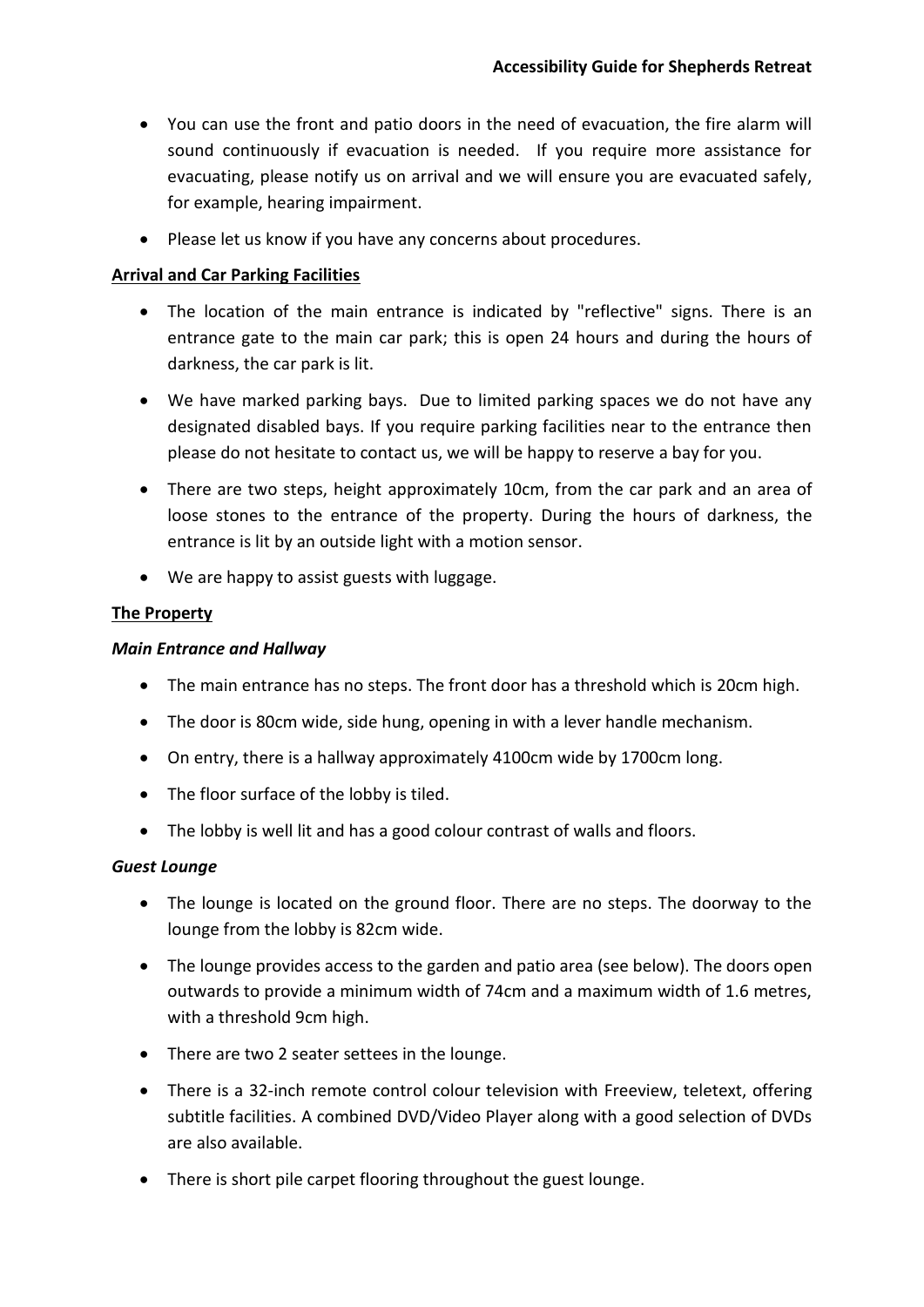- You can use the front and patio doors in the need of evacuation, the fire alarm will sound continuously if evacuation is needed. If you require more assistance for evacuating, please notify us on arrival and we will ensure you are evacuated safely, for example, hearing impairment.
- Please let us know if you have any concerns about procedures.

### **Arrival and Car Parking Facilities**

- The location of the main entrance is indicated by "reflective" signs. There is an entrance gate to the main car park; this is open 24 hours and during the hours of darkness, the car park is lit.
- We have marked parking bays. Due to limited parking spaces we do not have any designated disabled bays. If you require parking facilities near to the entrance then please do not hesitate to contact us, we will be happy to reserve a bay for you.
- There are two steps, height approximately 10cm, from the car park and an area of loose stones to the entrance of the property. During the hours of darkness, the entrance is lit by an outside light with a motion sensor.
- We are happy to assist guests with luggage.

# **The Property**

## *Main Entrance and Hallway*

- The main entrance has no steps. The front door has a threshold which is 20cm high.
- The door is 80cm wide, side hung, opening in with a lever handle mechanism.
- On entry, there is a hallway approximately 4100cm wide by 1700cm long.
- The floor surface of the lobby is tiled.
- The lobby is well lit and has a good colour contrast of walls and floors.

### *Guest Lounge*

- The lounge is located on the ground floor. There are no steps. The doorway to the lounge from the lobby is 82cm wide.
- The lounge provides access to the garden and patio area (see below). The doors open outwards to provide a minimum width of 74cm and a maximum width of 1.6 metres, with a threshold 9cm high.
- There are two 2 seater settees in the lounge.
- There is a 32-inch remote control colour television with Freeview, teletext, offering subtitle facilities. A combined DVD/Video Player along with a good selection of DVDs are also available.
- There is short pile carpet flooring throughout the guest lounge.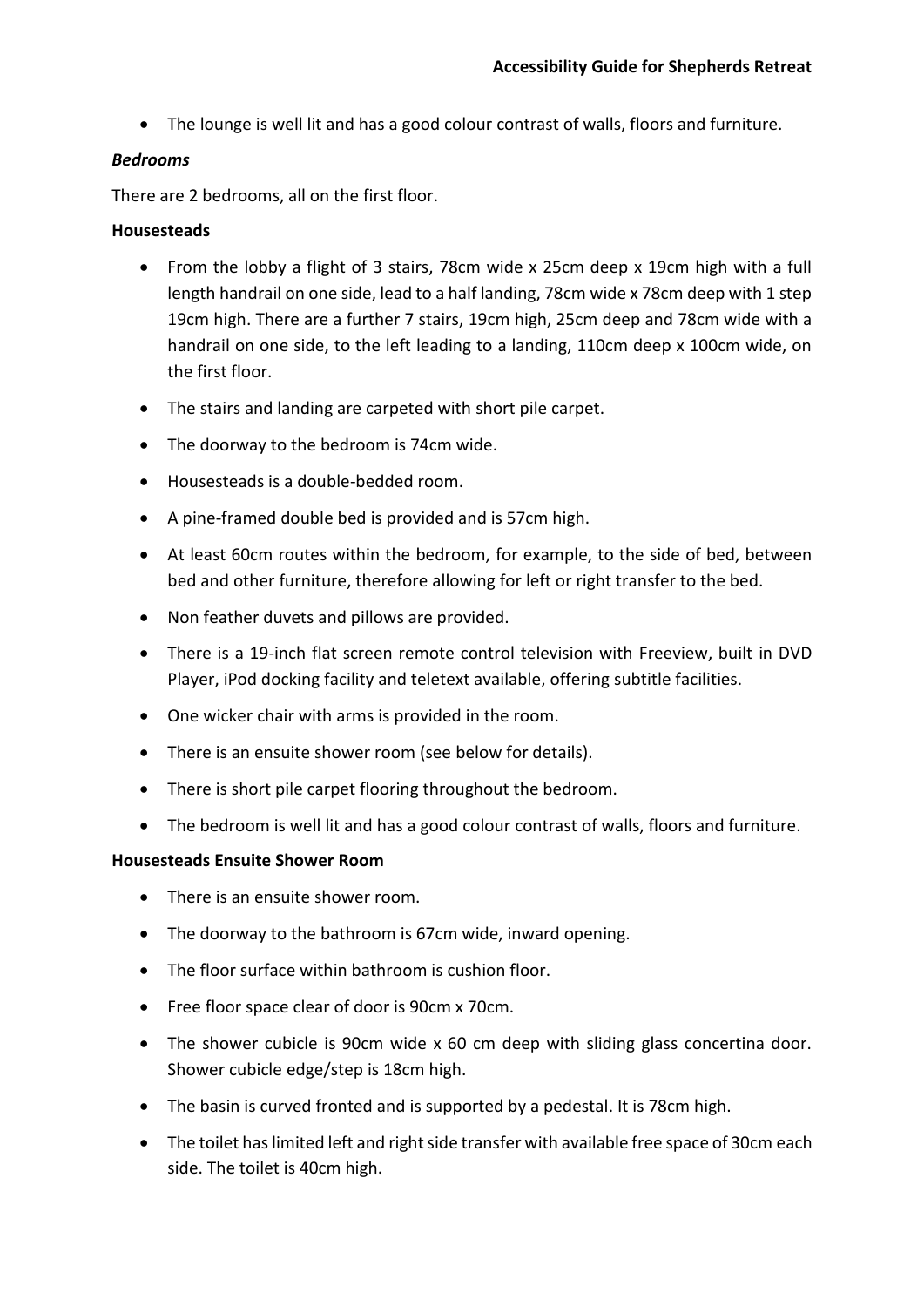• The lounge is well lit and has a good colour contrast of walls, floors and furniture.

# *Bedrooms*

There are 2 bedrooms, all on the first floor.

# **Housesteads**

- From the lobby a flight of 3 stairs, 78cm wide x 25cm deep x 19cm high with a full length handrail on one side, lead to a half landing, 78cm wide x 78cm deep with 1 step 19cm high. There are a further 7 stairs, 19cm high, 25cm deep and 78cm wide with a handrail on one side, to the left leading to a landing, 110cm deep x 100cm wide, on the first floor.
- The stairs and landing are carpeted with short pile carpet.
- The doorway to the bedroom is 74cm wide.
- Housesteads is a double-bedded room.
- A pine-framed double bed is provided and is 57cm high.
- At least 60cm routes within the bedroom, for example, to the side of bed, between bed and other furniture, therefore allowing for left or right transfer to the bed.
- Non feather duvets and pillows are provided.
- There is a 19-inch flat screen remote control television with Freeview, built in DVD Player, iPod docking facility and teletext available, offering subtitle facilities.
- One wicker chair with arms is provided in the room.
- There is an ensuite shower room (see below for details).
- There is short pile carpet flooring throughout the bedroom.
- The bedroom is well lit and has a good colour contrast of walls, floors and furniture.

### **Housesteads Ensuite Shower Room**

- There is an ensuite shower room.
- The doorway to the bathroom is 67cm wide, inward opening.
- The floor surface within bathroom is cushion floor.
- Free floor space clear of door is 90cm x 70cm.
- The shower cubicle is 90cm wide x 60 cm deep with sliding glass concertina door. Shower cubicle edge/step is 18cm high.
- The basin is curved fronted and is supported by a pedestal. It is 78cm high.
- The toilet has limited left and right side transfer with available free space of 30cm each side. The toilet is 40cm high.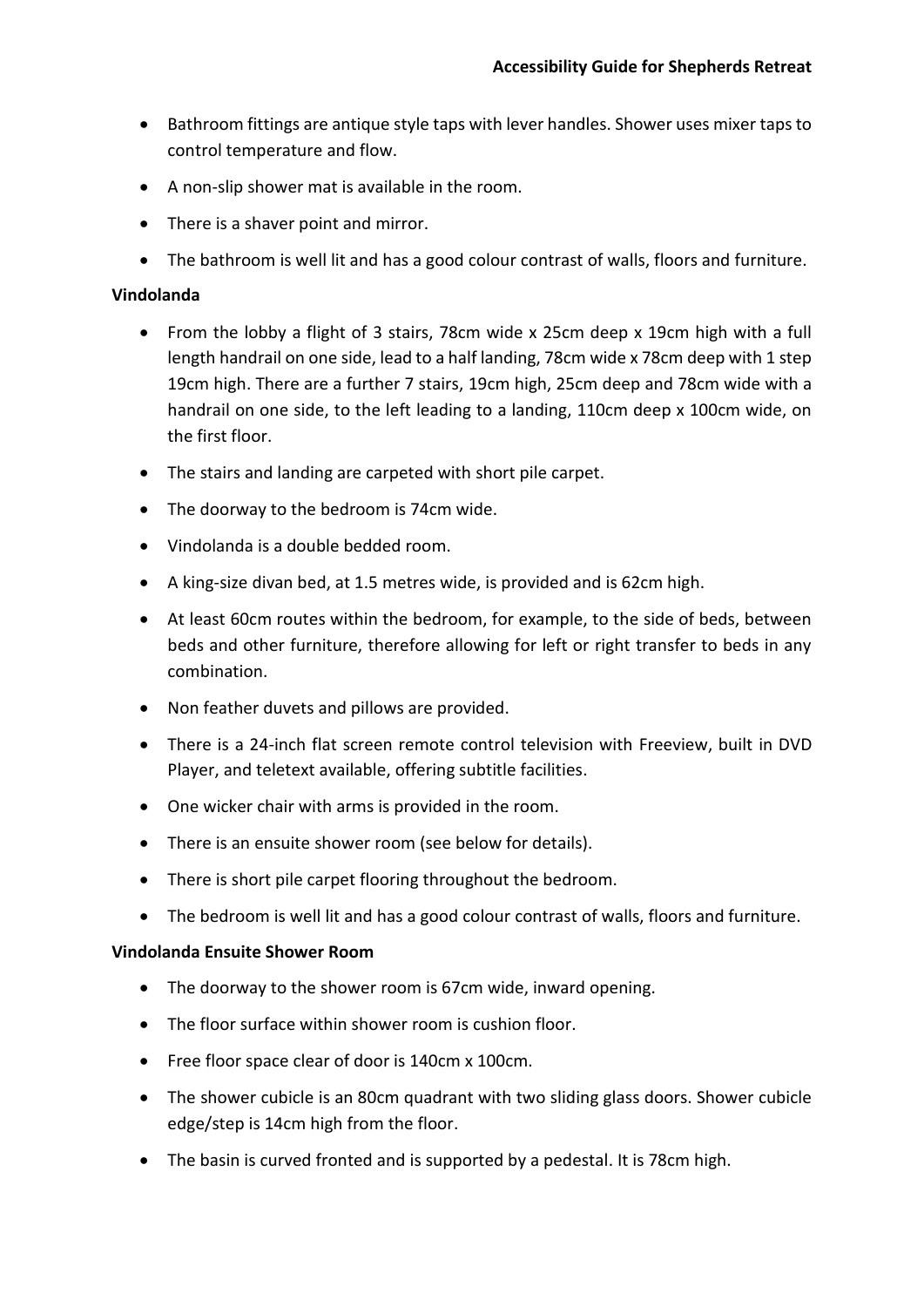- Bathroom fittings are antique style taps with lever handles. Shower uses mixer taps to control temperature and flow.
- A non-slip shower mat is available in the room.
- There is a shaver point and mirror.
- The bathroom is well lit and has a good colour contrast of walls, floors and furniture.

# **Vindolanda**

- From the lobby a flight of 3 stairs, 78cm wide x 25cm deep x 19cm high with a full length handrail on one side, lead to a half landing, 78cm wide x 78cm deep with 1 step 19cm high. There are a further 7 stairs, 19cm high, 25cm deep and 78cm wide with a handrail on one side, to the left leading to a landing, 110cm deep x 100cm wide, on the first floor.
- The stairs and landing are carpeted with short pile carpet.
- The doorway to the bedroom is 74cm wide.
- Vindolanda is a double bedded room.
- A king-size divan bed, at 1.5 metres wide, is provided and is 62cm high.
- At least 60cm routes within the bedroom, for example, to the side of beds, between beds and other furniture, therefore allowing for left or right transfer to beds in any combination.
- Non feather duvets and pillows are provided.
- There is a 24-inch flat screen remote control television with Freeview, built in DVD Player, and teletext available, offering subtitle facilities.
- One wicker chair with arms is provided in the room.
- There is an ensuite shower room (see below for details).
- There is short pile carpet flooring throughout the bedroom.
- The bedroom is well lit and has a good colour contrast of walls, floors and furniture.

### **Vindolanda Ensuite Shower Room**

- The doorway to the shower room is 67cm wide, inward opening.
- The floor surface within shower room is cushion floor.
- Free floor space clear of door is 140cm x 100cm.
- The shower cubicle is an 80cm quadrant with two sliding glass doors. Shower cubicle edge/step is 14cm high from the floor.
- The basin is curved fronted and is supported by a pedestal. It is 78cm high.